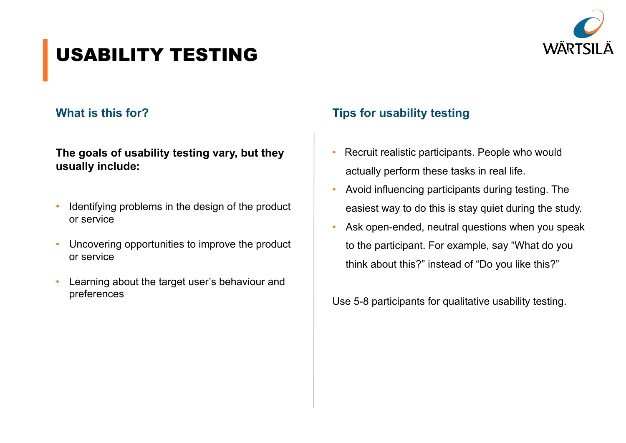

# USABILITY TESTING

#### **What is this for?**

#### **The goals of usability testing vary, but they usually include:**

- Identifying problems in the design of the product or service
- Uncovering opportunities to improve the product or service
- Learning about the target user's behaviour and preferences

### **Tips for usability testing**

- Recruit realistic participants. People who would actually perform these tasks in real life.
- Avoid influencing participants during testing. The easiest way to do this is stay quiet during the study.
- Ask open-ended, neutral questions when you speak to the participant. For example, say "What do you think about this?" instead of "Do you like this?"

Use 5-8 participants for qualitative usability testing.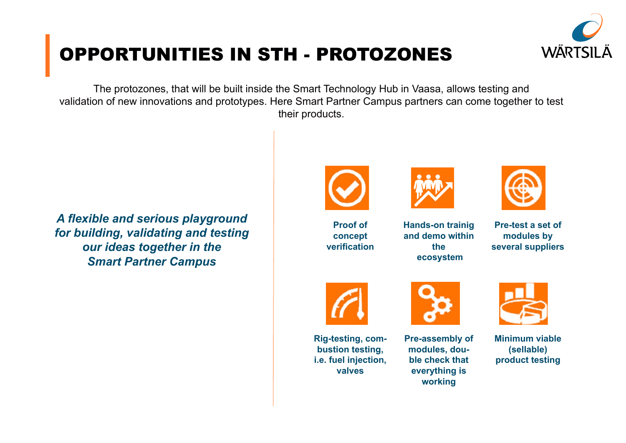

# OPPORTUNITIES IN STH - PROTOZONES

The protozones, that will be built inside the Smart Technology Hub in Vaasa, allows testing and validation of new innovations and prototypes. Here Smart Partner Campus partners can come together to test their products.

*A flexible and serious playground for building, validating and testing our ideas together in the Smart Partner Campus*



**Proof of concept verification**



**Hands-on trainig and demo within the ecosystem**



**Pre-test a set of modules by several suppliers**



**Rig-testing, combustion testing, i.e. fuel injection, valves**



**Pre-assembly of modules, double check that everything is working**



**Minimum viable (sellable) product testing**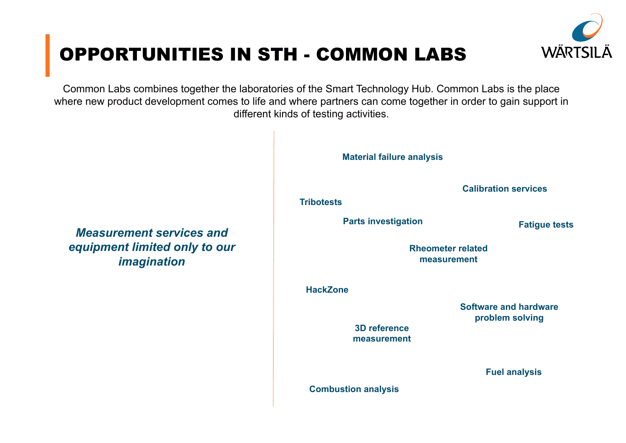

# OPPORTUNITIES IN STH - COMMON LABS

Common Labs combines together the laboratories of the Smart Technology Hub. Common Labs is the place where new product development comes to life and where partners can come together in order to gain support in different kinds of testing activities.



*Measurement services and equipment limited only to our imagination*